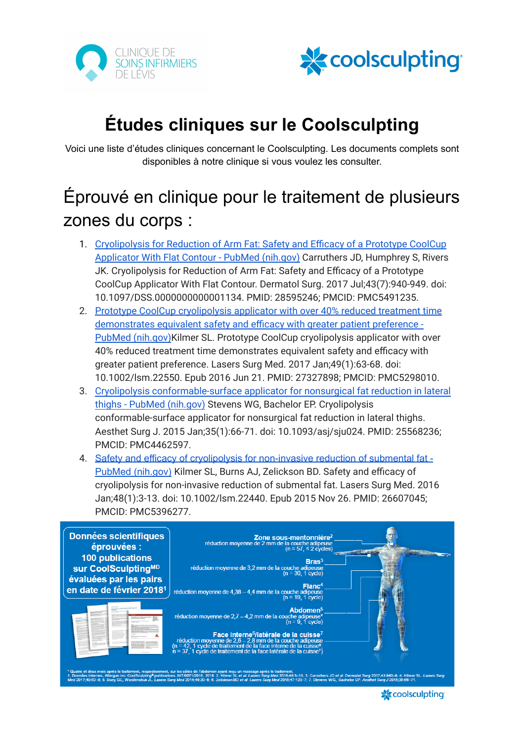



# **Études cliniques sur le Coolsculpting**

Voici une liste d'études cliniques concernant le Coolsculpting. Les documents complets sont disponibles à notre clinique si vous voulez les consulter.

# Éprouvé en clinique pour le traitement de plusieurs zones du corps :

- 1. [Cryolipolysis](https://pubmed.ncbi.nlm.nih.gov/28595246/) for Reduction of Arm Fat: Safety and Efficacy of a Prototype CoolCup [Applicator](https://pubmed.ncbi.nlm.nih.gov/28595246/) With Flat Contour - PubMed (nih.gov) Carruthers JD, Humphrey S, Rivers JK. Cryolipolysis for Reduction of Arm Fat: Safety and Efficacy of a Prototype CoolCup Applicator With Flat Contour. Dermatol Surg. 2017 Jul;43(7):940-949. doi: 10.1097/DSS.0000000000001134. PMID: 28595246; PMCID: PMC5491235.
- 2. Prototype CoolCup [cryolipolysis](https://pubmed.ncbi.nlm.nih.gov/27327898/) applicator with over 40% reduced treatment time [demonstrates](https://pubmed.ncbi.nlm.nih.gov/27327898/) equivalent safety and efficacy with greater patient preference - PubMed [\(nih.gov\)](https://pubmed.ncbi.nlm.nih.gov/27327898/)Kilmer SL. Prototype CoolCup cryolipolysis applicator with over 40% reduced treatment time demonstrates equivalent safety and efficacy with greater patient preference. Lasers Surg Med. 2017 Jan;49(1):63-68. doi: 10.1002/lsm.22550. Epub 2016 Jun 21. PMID: 27327898; PMCID: PMC5298010.
- 3. Cryolipolysis [conformable-surface](https://pubmed.ncbi.nlm.nih.gov/25568236/) applicator for nonsurgical fat reduction in lateral thighs - PubMed [\(nih.gov\)](https://pubmed.ncbi.nlm.nih.gov/25568236/) Stevens WG, Bachelor EP. Cryolipolysis conformable-surface applicator for nonsurgical fat reduction in lateral thighs. Aesthet Surg J. 2015 Jan;35(1):66-71. doi: 10.1093/asj/sju024. PMID: 25568236; PMCID: PMC4462597.
- 4. Safety and efficacy of cryolipolysis for [non-invasive](https://pubmed.ncbi.nlm.nih.gov/26607045/) reduction of submental fat PubMed [\(nih.gov\)](https://pubmed.ncbi.nlm.nih.gov/26607045/) Kilmer SL, Burns AJ, Zelickson BD. Safety and efficacy of cryolipolysis for non-invasive reduction of submental fat. Lasers Surg Med. 2016 Jan;48(1):3-13. doi: 10.1002/lsm.22440. Epub 2015 Nov 26. PMID: 26607045; PMCID: PMC5396277.



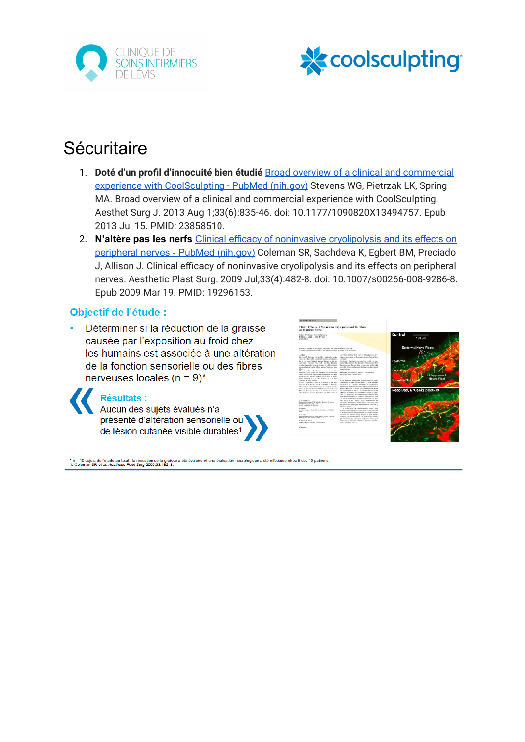



## **Sécuritaire**

- 1. **Doté d'un profil d'innocuité bien étudié** Broad overview of a clinical and [commercial](https://pubmed.ncbi.nlm.nih.gov/23858510/) experience with [CoolSculpting](https://pubmed.ncbi.nlm.nih.gov/23858510/) - PubMed (nih.gov) Stevens WG, Pietrzak LK, Spring MA. Broad overview of a clinical and commercial experience with CoolSculpting. Aesthet Surg J. 2013 Aug 1;33(6):835-46. doi: 10.1177/1090820X13494757. Epub 2013 Jul 15. PMID: 23858510.
- 2. **N'altère pas les nerfs** Clinical efficacy of noninvasive [cryolipolysis](https://pubmed.ncbi.nlm.nih.gov/19296153/) and its effects on [peripheral](https://pubmed.ncbi.nlm.nih.gov/19296153/) nerves - PubMed (nih.gov) Coleman SR, Sachdeva K, Egbert BM, Preciado J, Allison J. Clinical efficacy of noninvasive cryolipolysis and its effects on peripheral nerves. Aesthetic Plast Surg. 2009 Jul;33(4):482-8. doi: 10.1007/s00266-008-9286-8. Epub 2009 Mar 19. PMID: 19296153.

#### Objectif de l'étude :

**Résultats :** 

Déterminer si la réduction de la graisse causée par l'exposition au froid chez les humains est associée à une altération de la fonction sensorielle ou des fibres nerveuses locales ( $n = 9$ )\*

> Aucun des sujets évalués n'a présenté d'altération sensorielle ou de lésion cutanée visible durables<sup>1</sup>



\* n = 10 sujets de l'étude au total : la réduction de la graisse a été évaluée et une évaluation neurologique a été effectuée chez 9 des 10 patients<br>1. Coleman SR *et al. Aesthetic Plast Surg* 2009;33:482–8.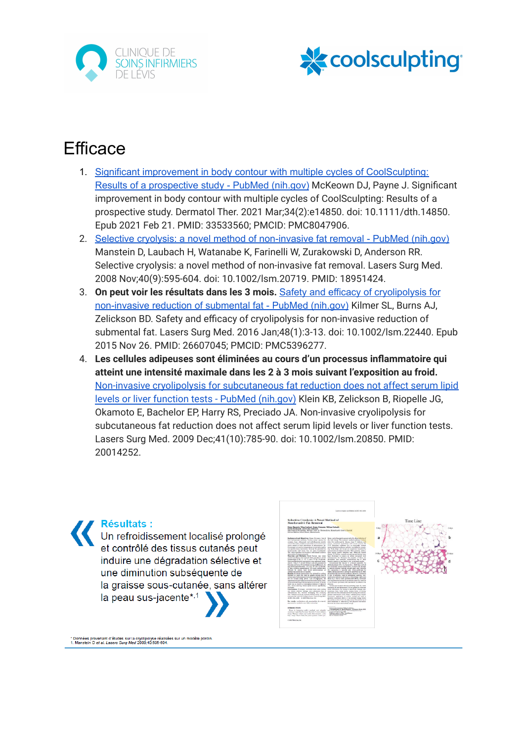



## **Efficace**

- 1. Significant improvement in body contour with multiple cycles of [CoolSculpting:](https://pubmed.ncbi.nlm.nih.gov/33533560/) Results of a [prospective](https://pubmed.ncbi.nlm.nih.gov/33533560/) study - PubMed (nih.gov) McKeown DJ, Payne J. Significant improvement in body contour with multiple cycles of CoolSculpting: Results of a prospective study. Dermatol Ther. 2021 Mar;34(2):e14850. doi: 10.1111/dth.14850. Epub 2021 Feb 21. PMID: 33533560; PMCID: PMC8047906.
- 2. Selective cryolysis: a novel method of [non-invasive](https://pubmed.ncbi.nlm.nih.gov/18951424/) fat removal PubMed (nih.gov) Manstein D, Laubach H, Watanabe K, Farinelli W, Zurakowski D, Anderson RR. Selective cryolysis: a novel method of non-invasive fat removal. Lasers Surg Med. 2008 Nov;40(9):595-604. doi: 10.1002/lsm.20719. PMID: 18951424.
- 3. **On peut voir les résultats dans les 3 mois.** Safety and efficacy of [cryolipolysis](https://pubmed.ncbi.nlm.nih.gov/26607045/) for [non-invasive](https://pubmed.ncbi.nlm.nih.gov/26607045/) reduction of submental fat - PubMed (nih.gov) Kilmer SL, Burns AJ, Zelickson BD. Safety and efficacy of cryolipolysis for non-invasive reduction of submental fat. Lasers Surg Med. 2016 Jan;48(1):3-13. doi: 10.1002/lsm.22440. Epub 2015 Nov 26. PMID: 26607045; PMCID: PMC5396277.
- 4. **Les cellules adipeuses sont éliminées au cours d'un processus inflammatoire qui atteint une intensité maximale dans les 2 à 3 mois suivant l'exposition au froid.** Non-invasive cryolipolysis for [subcutaneous](https://pubmed.ncbi.nlm.nih.gov/20014252/) fat reduction does not affect serum lipid levels or liver function tests - PubMed [\(nih.gov\)](https://pubmed.ncbi.nlm.nih.gov/20014252/) Klein KB, Zelickson B, Riopelle JG, Okamoto E, Bachelor EP, Harry RS, Preciado JA. Non-invasive cryolipolysis for subcutaneous fat reduction does not affect serum lipid levels or liver function tests. Lasers Surg Med. 2009 Dec;41(10):785-90. doi: 10.1002/lsm.20850. PMID: 20014252.





\* Données provenant d'études sur la cryolipolyse réalisées sur un modèle porci<br>1. Manstein D e*t al. Lasers Surg Med* 2008;40:595-604.